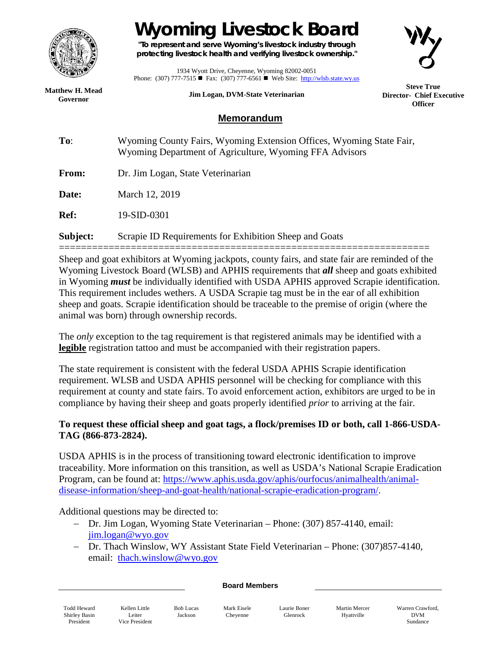

## **Wyoming Livestock Board**

**"To represent and serve Wyoming's livestock industry through protecting livestock health and verifying livestock ownership."**



1934 Wyott Drive, Cheyenne, Wyoming 82002-0051 Phone: (307) 777-7515  $\blacksquare$  Fax: (307) 777-6561  $\blacksquare$  Web Site: [http://wlsb.state.wy.us](http://wlsb.state.wy.us/)

**Jim Logan, DVM-State Veterinarian**

**Steve True Director- Chief Executive Officer**

**Matthew H. Mead Governor**

## **Memorandum**

**To**: Wyoming County Fairs, Wyoming Extension Offices, Wyoming State Fair, Wyoming Department of Agriculture, Wyoming FFA Advisors **From:** Dr. Jim Logan, State Veterinarian **Date:** March 12, 2019 **Ref:** 19-SID-0301

**Subject:** Scrapie ID Requirements for Exhibition Sheep and Goats

=================================================================== Sheep and goat exhibitors at Wyoming jackpots, county fairs, and state fair are reminded of the Wyoming Livestock Board (WLSB) and APHIS requirements that *all* sheep and goats exhibited in Wyoming *must* be individually identified with USDA APHIS approved Scrapie identification. This requirement includes wethers. A USDA Scrapie tag must be in the ear of all exhibition sheep and goats. Scrapie identification should be traceable to the premise of origin (where the animal was born) through ownership records.

The *only* exception to the tag requirement is that registered animals may be identified with a **legible** registration tattoo and must be accompanied with their registration papers.

The state requirement is consistent with the federal USDA APHIS Scrapie identification requirement. WLSB and USDA APHIS personnel will be checking for compliance with this requirement at county and state fairs. To avoid enforcement action, exhibitors are urged to be in compliance by having their sheep and goats properly identified *prior* to arriving at the fair.

## **To request these official sheep and goat tags, a flock/premises ID or both, call 1-866-USDA-TAG (866-873-2824).**

USDA APHIS is in the process of transitioning toward electronic identification to improve traceability. More information on this transition, as well as USDA's National Scrapie Eradication Program, can be found at: [https://www.aphis.usda.gov/aphis/ourfocus/animalhealth/animal](https://www.aphis.usda.gov/aphis/ourfocus/animalhealth/animal-disease-information/sheep-and-goat-health/national-scrapie-eradication-program/)[disease-information/sheep-and-goat-health/national-scrapie-eradication-program/.](https://www.aphis.usda.gov/aphis/ourfocus/animalhealth/animal-disease-information/sheep-and-goat-health/national-scrapie-eradication-program/)

Additional questions may be directed to:

- − Dr. Jim Logan, Wyoming State Veterinarian Phone: (307) 857-4140, email: [jim.logan@wyo.gov](mailto:jim.logan@wyo.gov)
- − Dr. Thach Winslow, WY Assistant State Field Veterinarian Phone: (307)857-4140, email: [thach.winslow@wyo.gov](mailto:thach.winslow@wyo.gov)

## **Board Members**

Todd Heward Shirley Basin President

Kellen Little Leiter Vice President Bob Lucas

Jackson

Mark Eisele Cheyenne

Laurie Boner Glenrock

Martin Mercer Hyattville